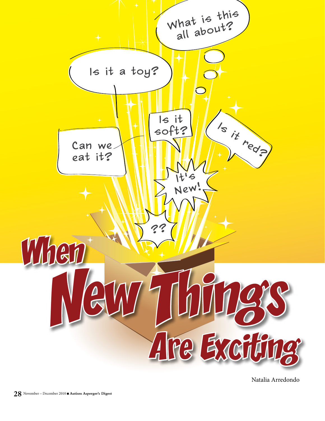

Natalia Arredondo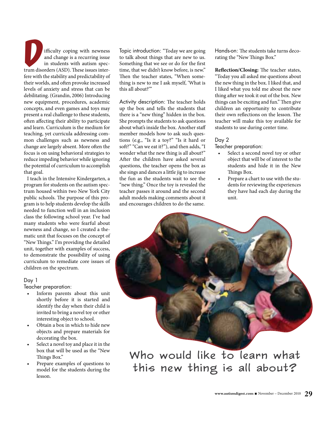Extending the university of the same disorders (ASD). These issues inter-<br>trum disorders (ASD). These issues interand change is a recurring issue in students with autism specfere with the stability and predictability of their worlds, and often provoke increased levels of anxiety and stress that can be debilitating. (Grandin, 2006) Introducing new equipment, procedures, academic concepts, and even games and toys may present a real challenge to these students, often affecting their ability to participate and learn. Curriculum is the medium for teaching, yet curricula addressing common challenges such as newness and change are largely absent. More often the focus is on using behavioral strategies to reduce impeding behavior while ignoring the potential of curriculum to accomplish that goal.

I teach in the Intensive Kindergarten, a program for students on the autism spectrum housed within two New York City public schools. The purpose of this program is to help students develop the skills needed to function well in an inclusion class the following school year. I've had many students who were fearful about newness and change, so I created a thematic unit that focuses on the concept of "New Things." I'm providing the detailed unit, together with examples of success, to demonstrate the possibility of using curriculum to remediate core issues of children on the spectrum.

#### Day 1

Teacher preparation:

- Inform parents about this unit shortly before it is started and identify the day when their child is invited to bring a novel toy or other interesting object to school.
- Obtain a box in which to hide new objects and prepare materials for decorating the box.
- Select a novel toy and place it in the box that will be used as the "New Things Box."
- Prepare examples of questions to model for the students during the lesson.

Topic introduction: "Today we are going to talk about things that are new to us. Something that we see or do for the first time, that we didn't know before, is new." Then the teacher states, "When something is new to me I ask myself, 'What is this all about?'"

Activity description: The teacher holds up the box and tells the students that there is a "new thing" hidden in the box. She prompts the students to ask questions about what's inside the box. Another staff member models how to ask such questions (e.g., "Is it a toy?" "Is it hard or soft?" "Can we eat it?"), and then adds, "I wonder what the new thing is all about?" After the children have asked several questions, the teacher opens the box as she sings and dances a little jig to increase the fun as the students wait to see the "new thing." Once the toy is revealed the teacher passes it around and the second adult models making comments about it and encourages children to do the same.

Hands-on: The students take turns decorating the "New Things Box."

**Reflection/Closing:** The teacher states, "Today you all asked me questions about the new thing in the box. I liked that, and I liked what you told me about the new thing after we took it out of the box. New things can be exciting and fun." Then give children an opportunity to contribute their own reflections on the lesson. The teacher will make this toy available for students to use during center time.

#### Day 2

Teacher preparation:

- Select a second novel toy or other object that will be of interest to the students and hide it in the New Things Box.
- Prepare a chart to use with the students for reviewing the experiences they have had each day during the unit.

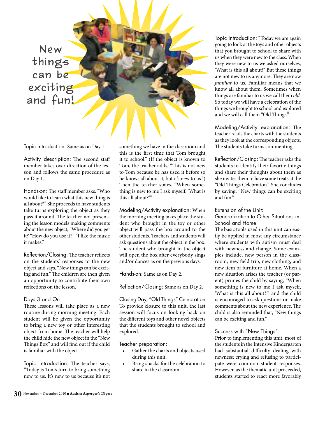New things can be exciting and fun!

Topic introduction: Same as on Day 1.

Activity description: The second staff member takes over direction of the lesson and follows the same procedure as on Day 1.

Hands-on: The staff member asks, "Who would like to learn what this new thing is all about?" She proceeds to have students take turns exploring the object as they pass it around. The teacher not presenting the lesson models making comments about the new object, "Where did you get it? "How do you use it?" "I like the music it makes."

Reflection/Closing: The teacher reflects on the students' responses to the new object and says, "New things can be exciting and fun." The children are then given an opportunity to contribute their own reflections on the lesson.

### Days 3 and On

These lessons will take place as a new routine during morning meeting. Each student will be given the opportunity to bring a new toy or other interesting object from home. The teacher will help the child hide the new object in the "New Things Box" and will find out if the child is familiar with the object.

Topic introduction: The teacher says, "Today is Tom's turn to bring something new to us. It's new to us because it's not something we have in the classroom and this is the first time that Tom brought it to school." (If the object is known to Tom, the teacher adds, "This is not new to Tom because he has used it before so he knows all about it, but it's new to us.") Then the teacher states, "When something is new to me I ask myself, 'What is this all about?'"

Modeling/Activity explanation: When the morning meeting takes place the student who brought in the toy or other object will pass the box around to the other students. Teachers and students will ask questions about the object in the box. The student who brought in the object will open the box after everybody sings and/or dances as on the previous days.

Hands-on: Same as on Day 2.

Reflection/Closing: Same as on Day 2.

Closing Day, "Old Things" Celebration To provide closure to this unit, the last session will focus on looking back on the different toys and other novel objects that the students brought to school and explored.

Teacher preparation:

- Gather the charts and objects used during this unit.
- Bring snacks for the celebration to share in the classroom.

Topic introduction: "Today we are again going to look at the toys and other objects that you brought to school to share with us when they were new to the class. When they were new to us we asked ourselves, 'What is this all about?' But these things are not new to us anymore. They are now familiar to us. Familiar means that we know all about them. Sometimes when things are familiar to us we call them old. So today we will have a celebration of the things we brought to school and explored and we will call them "Old Things."

Modeling/Activity explanation: The teacher reads the charts with the students as they look at the corresponding objects. The students take turns commenting.

Reflection/Closing: The teacher asks the students to identify their favorite things and share their thoughts about them as she invites them to have some treats at the "Old Things Celebration." She concludes by saying, "New things can be exciting and fun."

## Extension of the Unit:

Generalization to Other Situations in School and Home

The basic tools used in this unit can easily be applied in most any circumstance where students with autism must deal with newness and change. Some examples include, new person in the classroom, new field trip, new clothing, and new item of furniture at home. When a new situation arises the teacher (or parent) primes the child by saying, "When something is new to me I ask myself, 'What is this all about?'" and the child is encouraged to ask questions or make comments about the new experience. The child is also reminded that, "New things can be exciting and fun."

# Success with "New Things"

Prior to implementing this unit, most of the students in the Intensive Kindergarten had substantial difficulty dealing with newness; crying and refusing to participate were common student responses. However, as the thematic unit proceeded, students started to react more favorably